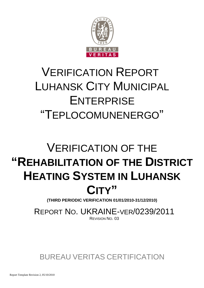

# VERIFICATION REPORT LUHANSK CITY MUNICIPAL **ENTERPRISE** "TEPLOCOMUNENERGO"

# VERIFICATION OF THE **"REHABILITATION OF THE DISTRICT HEATING SYSTEM IN LUHANSK CITY"**

**(THIRD PERIODIC VERIFICATION 01/01/2010-31/12/2010)**

REPORT NO. UKRAINE-VER/0239/2011 REVISION NO. 03

BUREAU VERITAS CERTIFICATION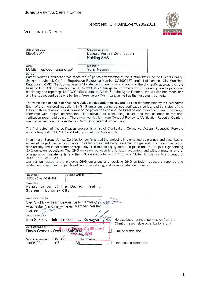

| Date of first issue:<br>08/04/2011                                                                                                                                                                                                                                                                                                                                                                                                                                                                                                                                                                                                                                                                                                                                                                      | Organizational unit:<br><b>Bureau Veritas Certification</b><br><b>Holding SAS</b> |                                                                   |  |  |
|---------------------------------------------------------------------------------------------------------------------------------------------------------------------------------------------------------------------------------------------------------------------------------------------------------------------------------------------------------------------------------------------------------------------------------------------------------------------------------------------------------------------------------------------------------------------------------------------------------------------------------------------------------------------------------------------------------------------------------------------------------------------------------------------------------|-----------------------------------------------------------------------------------|-------------------------------------------------------------------|--|--|
| Client:<br>LCME "Teplocomunenergo"                                                                                                                                                                                                                                                                                                                                                                                                                                                                                                                                                                                                                                                                                                                                                                      | Client ref.:<br><b>Yuriy Negrey</b>                                               |                                                                   |  |  |
| Summary:<br>Bureau Veritas Certification has made the 3 <sup>rd</sup> periodic verification of the "Rehabilitation of the District Heating<br>System in Luhansk City", JI Registration Reference Number UA1000157, project of Luhansk City Municipal<br>Enterprise (LCME) "Teplocomunenergo" located in Luhansk city, and applying the JI specific approach, on the<br>basis of UNFCCC criteria for the JI, as well as criteria given to provide for consistent project operations,<br>monitoring and reporting. UNFCCC criteria refer to Article 6 of the Kyoto Protocol, the JI rules and modalities<br>and the subsequent decisions by the JI Supervisory Committee, as well as the host country criteria.                                                                                           |                                                                                   |                                                                   |  |  |
| The verification scope is defined as a periodic independent review and ex post determination by the Accredited<br>Entity of the monitored reductions in GHG emissions during defined verification period, and consisted of the<br>following three phases: i) desk review of the project design and the baseline and monitoring plan; ii) follow-up<br>interviews with project stakeholders; iii) resolution of outstanding issues and the issuance of the final<br>verification report and opinion. The overall verification, from Contract Review to Verification Report & Opinion,<br>was conducted using Bureau Veritas Certification internal procedures.                                                                                                                                           |                                                                                   |                                                                   |  |  |
| The first output of the verification process is a list of Clarification, Corrective Actions Requests, Forward<br>Actions Requests (CR, CAR and FAR), presented in Appendix A.                                                                                                                                                                                                                                                                                                                                                                                                                                                                                                                                                                                                                           |                                                                                   |                                                                   |  |  |
| In summary, Bureau Veritas Certification confirms that the project is implemented as planned and described in<br>approved project design documents. Installed equipment being essential for generating emission reduction<br>runs reliably and is calibrated appropriately. The monitoring system is in place and the project is generating<br>GHG emission reductions. The GHG emission reduction is calculated accurately and without material errors,<br>omissions, or misstatements, and the ERUs issued totalize 68576 tons of CO2eq for the monitoring period of<br>$01.01.2010 - 31.12.2010.$<br>Our opinion relates to the project's GHG emissions and resulting GHG emission reductions reported and<br>related to the approved project baseline and monitoring, and its associated documents. |                                                                                   |                                                                   |  |  |
| Report No.:<br>UKRAINE-ver/0239/2011<br>JI                                                                                                                                                                                                                                                                                                                                                                                                                                                                                                                                                                                                                                                                                                                                                              | Subject Group:                                                                    |                                                                   |  |  |
| Project title:<br>Rehabilitation of the District Heating<br>System in Luhansk City                                                                                                                                                                                                                                                                                                                                                                                                                                                                                                                                                                                                                                                                                                                      |                                                                                   |                                                                   |  |  |
| Work carried out by:<br>Oleg Skoblyk – Team Leader, Lead Verifier (1000)<br>Vyacheslav Yeriomin - Team Member, Verifier<br>Trainee                                                                                                                                                                                                                                                                                                                                                                                                                                                                                                                                                                                                                                                                      |                                                                                   |                                                                   |  |  |
| Work reviewed by:<br>Ivan Sokolov - Internal Technical Reviewer<br>No distribution without permission from the                                                                                                                                                                                                                                                                                                                                                                                                                                                                                                                                                                                                                                                                                          |                                                                                   |                                                                   |  |  |
| Work approved by:<br>Flavio Gomes - Operational Manager                                                                                                                                                                                                                                                                                                                                                                                                                                                                                                                                                                                                                                                                                                                                                 | ertificatio                                                                       | Client or responsible organizational unit<br>Limited distribution |  |  |
| Rev. No.:<br>Date of this revision:<br>03<br>36<br>19/05/2011                                                                                                                                                                                                                                                                                                                                                                                                                                                                                                                                                                                                                                                                                                                                           | Number of pages:                                                                  | Unrestricted distribution                                         |  |  |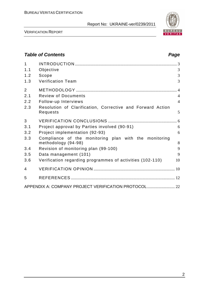

VERIFICATION REPORT

## **Table of Contents Page 2018** 1 INTRODUCTION ................................................................................................... 3 1.1 Objective 3 1.2 Scope 3 1.3 Verification Team 3 2 METHODOLOGY .................................................................................................. 4 2.1 Review of Documents 4 2.2 Follow-up Interviews 4 2.3 Resolution of Clarification, Corrective and Forward Action Requests 5 3 VERIFICATION CONCLUSIONS ................................................................... 6 3.1 Project approval by Parties involved (90-91) 6 3.2 Project implementation (92-93) 6 3.3 Compliance of the monitoring plan with the monitoring methodology (94-98) 8 3.4 Revision of monitoring plan (99-100) 9 3.5 Data management (101) 9 3.6 Verification regarding programmes of activities (102-110) 10 4 VERIFICATION OPINION ............................................................................... 10 5 REFERENCES ..................................................................................................... 12 APPENDIX A: COMPANY PROJECT VERIFICATION PROTOCOL............................... 22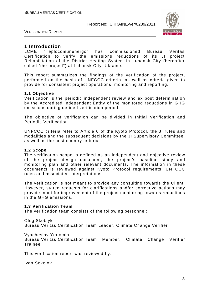

VERIFICATION REPORT

### **1 Introduction**

LCME "Teplocomunenergo" has commissioned Bureau Veritas Certification to verify the emissions reductions of its JI project Rehabilitation of the District Heating System in Luhansk City (hereafter called "the project") at Luhansk City, Ukraine.

This report summarizes the findings of the verification of the project, performed on the basis of UNFCCC criteria, as well as criteria given to provide for consistent project operations, monitoring and reporting.

#### **1.1 Objective**

Verification is the periodic independent review and ex post determination by the Accredited Independent Entity of the monitored reductions in GHG emissions during defined verification period.

The objective of verification can be divided in Initial Verification and Periodic Verification.

UNFCCC criteria refer to Article 6 of the Kyoto Protocol, the JI rules and modalities and the subsequent decisions by the JI Supervisory Committee, as well as the host country criteria.

#### **1.2 Scope**

The verification scope is defined as an independent and objective review of the project design document, the project's baseline study and monitoring plan and other relevant documents. The information in these documents is reviewed against Kyoto Protocol requirements, UNFCCC rules and associated interpretations.

The verification is not meant to provide any consulting towards the Client. However, stated requests for clarifications and/or corrective actions may provide input for improvement of the project monitoring towards reductions in the GHG emissions.

#### **1.3 Verification Team**

The verification team consists of the following personnel:

Oleg Skoblyk

Bureau Veritas Certification Team Leader, Climate Change Verifier

#### Vyacheslav Yeriomin

Bureau Veritas Certification Team Member, Climate Change Verifier Trainee

This verification report was reviewed by:

Ivan Sokolov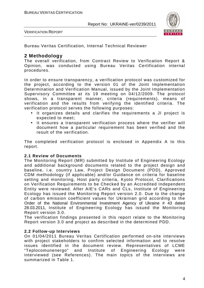

VERIFICATION REPORT

Bureau Veritas Certification, Internal Technical Reviewer

### **2 Methodology**

The overall verification, from Contract Review to Verification Report & Opinion, was conducted using Bureau Veritas Certification internal procedures.

In order to ensure transparency, a verification protocol was customized for the project, according to the version 01 of the Joint Implementation Determination and Verification Manual, issued by the Joint Implementation Supervisory Committee at its 19 meeting on 04/12/2009. The protocol shows, in a transparent manner, criteria (requirements), means of verification and the results from verifying the identified criteria. The verification protocol serves the following purposes:

- It organizes details and clarifies the requirements a JI project is expected to meet;
- It ensures a transparent verification process where the verifier will document how a particular requirement has been verified and the result of the verification.

The completed verification protocol is enclosed in Appendix A to this report.

#### **2.1 Review of Documents**

The Monitoring Report (MR) submitted by Institute of Engineering Ecology and additional background documents related to the project design and baseline, i.e. country Law, Project Design Document (PDD), Approved CDM methodology (if applicable) and/or Guidance on criteria for baseline setting and monitoring, Host party criteria, Kyoto Protocol, Clarifications on Verification Requirements to be Checked by an Accredited Independent Entity were reviewed. After AIE's CARs and CLs, Institute of Engineering Ecology has issued the Monitoring Report version 2.0. Due to the change of carbon emission coefficient values for Ukrainian grid according to the Order of the National Environmental Investment Agency of Ukraine # 43 dated 28.03.2011, Institute of Engineering Ecology has issued the Monitoring Report version 3.0.

The verification findings presented in this report relate to the Monitoring Report version 3.0 and project as described in the determined PDD.

#### **2.2 Follow-up Interviews**

On 01/04/2011 Bureau Veritas Certification performed on-site interviews with project stakeholders to confirm selected information and to resolve issues identified in the document review. Representatives of LCME "Teplocomunenergo" and Institute of Engineering Ecology were interviewed (see References). The main topics of the interviews are summarized in Table 1.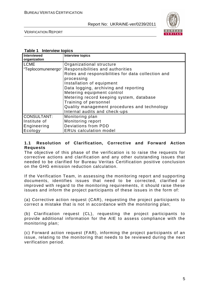

VERIFICATION REPORT

#### **Table 1 Interview topics**

| <b>Interviewed</b><br>organization | <b>Interview topics</b>                            |
|------------------------------------|----------------------------------------------------|
| <b>LCME</b>                        | Organizational structure                           |
| "Teplocomunenergo"                 | Responsibilities and authorities                   |
|                                    | Roles and responsibilities for data collection and |
|                                    | processing                                         |
|                                    | Installation of equipment                          |
|                                    | Data logging, archiving and reporting              |
|                                    | Metering equipment control                         |
|                                    | Metering record keeping system, database           |
|                                    | Training of personnel                              |
|                                    | Quality management procedures and technology       |
|                                    | Internal audits and check-ups                      |
| <b>CONSULTANT:</b>                 | Monitoring plan                                    |
| Institute of                       | Monitoring report                                  |
| Engineering                        | Deviations from PDD                                |
| Ecology                            | <b>ERUs calculation model</b>                      |

#### **1.1 Resolution of Clarification, Corrective and Forward Action Requests**

The objective of this phase of the verification is to raise the requests for corrective actions and clarification and any other outstanding issues that needed to be clarified for Bureau Veritas Certification positive conclusion on the GHG emission reduction calculation.

If the Verification Team, in assessing the monitoring report and supporting documents, identifies issues that need to be corrected, clarified or improved with regard to the monitoring requirements, it should raise these issues and inform the project participants of these issues in the form of:

(a) Corrective action request (CAR), requesting the project participants to correct a mistake that is not in accordance with the monitoring plan;

(b) Clarification request (CL), requesting the project participants to provide additional information for the AIE to assess compliance with the monitoring plan;

(c) Forward action request (FAR), informing the project participants of an issue, relating to the monitoring that needs to be reviewed during the next verification period.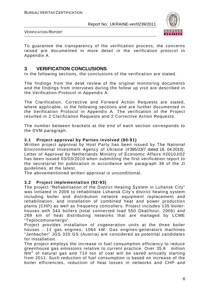

VERIFICATION REPORT

To guarantee the transparency of the verification process, the concerns raised are documented in more detail in the verification protocol in Appendix A.

### **3 VERIFICATION CONCLUSIONS**

In the following sections, the conclusions of the verification are stated.

The findings from the desk review of the original monitoring documents and the findings from interviews during the follow up visit are described in the Verification Protocol in Appendix A.

The Clarification, Corrective and Forward Action Requests are stated, where applicable, in the following sections and are further documented in the Verification Protocol in Appendix A. The verification of the Project resulted in 2 Clarification Requests and 2 Corrective Action Requests.

The number between brackets at the end of each section corresponds to the DVM paragraph.

#### **3.1 Project approval by Parties involved (90-91)**

Written project approval by Host Party has been issued by The National Environmental Investment Agency of Ukraine (#365/23/7 dated 16. 04.2010). Letter of Approval by Netherlands Ministry of Economic Affairs #2010JI02 has been issued 03/03/2010 when submitting the first verification report to the secretariat for publication in accordance with paragraph 38 of the JI guidelines, at the latest.

The abovementioned written approval is unconditional.

#### **3.2 Project implementation (92-93)**

The project "Rehabilitation of the District Heating System in Luhansk City" was initiated in 2006 to rehabilitate Luhansk City's district heating system including boiler and distribution network equipment replacement and rehabilitation, and installation of combined heat and power production plants (CHP) as well as frequency controllers. Project includes 135 boilerhouses with 344 boilers (total connected load 550 Gkal/hour, 2006) and 269 km of heat distributing networks that are managed by LCME "Teplocomunenergo".

Project provides installation of cogeneration units at the three boiler houses - 11 gas engines, 1064 kW. Gas engines-generators machines "Jenbacher" JGS 320 GS (Austria) are considered as potential candidates for installation.

The project employs the increase in fuel consumption efficiency to reduce greenhouse gas emissions relative to current practice. Over 35.8 million  $\overline{\textsf{N}}$ m<sup>3</sup> of natural gas and 710 ton of coal will be saved annually starting from 2011. Such reduction of fuel consumption is based on increase of the boiler efficiencies, reduction of heat losses in networks and CHP and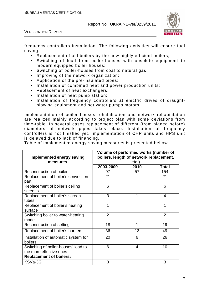

VERIFICATION REPORT

frequency controllers installation. The following activities will ensure fuel saving:

- Replacement of old boilers by the new highly efficient boilers;
- Switching of load from boiler-houses with obsolete equipment to modern equipped boiler houses;
- Switching of boiler-houses from coal to natural gas;
- Improving of the network organization;
- Application of the pre-insulated pipes;
- Installation of combined heat and power production units;
- Replacement of heat exchangers;
- Installation of heat pump station;
- Installation of frequency controllers at electric drives of draughtblowing equipment and hot water pumps motors.

Implementation of boiler houses rehabilitation and network rehabilitation are realized mainly according to project plan with some deviations from time-table. In several cases replacement of different (from planed before) diameters of network pipes takes place. Installation of frequency сontrollers is not finished yet. Implementation of CHP units and HPS unit is delayed due to lack of financing.

Table of implemented energy saving measures is presented bellow.

| <b>Implemented energy saving</b><br>measures                   | Volume of performed works (number of<br>boilers, length of network replacement, | etc.)                    |                |
|----------------------------------------------------------------|---------------------------------------------------------------------------------|--------------------------|----------------|
|                                                                | 2003-2009                                                                       | 2010                     | Total          |
| Reconstruction of boiler                                       | 97                                                                              | 57                       | 154            |
| Replacement of boiler's convection<br>part                     | 21                                                                              |                          | 21             |
| Replacement of boiler's ceiling<br>screens                     | 6                                                                               |                          | 6              |
| Replacement of boiler's screen<br>tubes                        | 3                                                                               | 1                        | 4              |
| Replacement of boiler's heating<br>surface                     | 1                                                                               |                          | 1              |
| Switching boiler to water-heating<br>mode                      | $\overline{2}$                                                                  |                          | $\overline{2}$ |
| Reconstruction of setting                                      | 18                                                                              | 1                        | 19             |
| Replacement of boiler's burners                                | 36                                                                              | 13                       | 49             |
| Installation of automatic system for<br>boilers                | 20                                                                              | 6                        | 26             |
| Switching of boiler-houses' load to<br>the more effective ones | 6                                                                               | $\overline{\mathcal{A}}$ | 10             |
| <b>Replacement of boilers:</b>                                 |                                                                                 |                          |                |
| KSVa-3G                                                        | 3                                                                               |                          | 3              |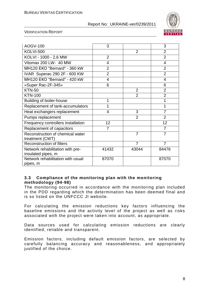

#### VERIFICATION REPORT

| AOGV-100                                               | 3              |                | 3              |
|--------------------------------------------------------|----------------|----------------|----------------|
| <b>KOLVI-500</b>                                       |                | $\overline{2}$ | $\overline{2}$ |
| KOLVI - 1000 - 2,6 MW                                  | $\overline{2}$ |                | $\overline{2}$ |
| Vitomax 200 LW- 40 MW                                  | $\overline{4}$ |                | $\overline{4}$ |
| MH120 EKO "Bernard" - 360 kW                           | $\overline{2}$ |                | $\overline{2}$ |
| IVAR Superac 290 2F - 600 KW                           | $\overline{2}$ |                | $\overline{2}$ |
| MH120 EKO "Bernard" - 420 kW                           | 4              |                | 4              |
| «Super Rac-2F-345»                                     | 6              |                | 6              |
| <b>KTN-50</b>                                          |                | $\overline{2}$ | $\overline{2}$ |
| <b>KTN-100</b>                                         |                | $\overline{2}$ | $\overline{2}$ |
| <b>Building of boiler-house</b>                        | 1              |                | 1              |
| Replacement of tank-accumulators                       | 1              |                | 1              |
| Heat exchangers replacement                            | 4              | 3              | 7              |
| Pumps replacement                                      |                | $\overline{2}$ | $\overline{2}$ |
| Frequency controllers installation                     | 12             |                | 12             |
| Replacement of capacitors                              | $\overline{7}$ |                | 7              |
| Reconstruction of chemical water<br>treatment (CWT)    |                | $\overline{7}$ | 7              |
| <b>Reconstruction of filters</b>                       |                | $\overline{7}$ | $\overline{7}$ |
| Network rehabilitation with pre-<br>insulated pipes, m | 41432          | 43044          | 84476          |
| Network rehabilitation with usual<br>pipes, m          | 87070          |                | 87070          |

#### **3.3 Compliance of the monitoring plan with the monitoring methodology (94-98)**

The monitoring occurred in accordance with the monitoring plan included in the PDD regarding which the determination has been deemed final and is so listed on the UNFCCC JI website.

For calculating the emission reductions key factors influencing the baseline emissions and the activity level of the project as well as risks associated with the project were taken into account, as appropriate.

Data sources used for calculating emission reductions are clearly identified, reliable and transparent.

Emission factors, including default emission factors, are selected by carefully balancing accuracy and reasonableness, and appropriately justified of the choice.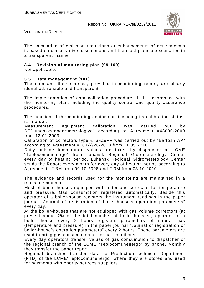

VERIFICATION REPORT

The calculation of emission reductions or enhancements of net removals is based on conservative assumptions and the most plausible scenarios in a transparent manner.

#### **3.4 Revision of monitoring plan (99-100)**

Not applicable.

#### **3.5 Data management (101)**

The data and their sources, provided in monitoring report, are clearly identified, reliable and transparent.

The implementation of data collection procedures is in accordance with the monitoring plan, including the quality control and quality assurance procedures.

The function of the monitoring equipment, including its calibration status, is in order.

Measurement equipment calibration was carried out by SE"Luhanskstandartmetrologiya" according to Agreement #48030-2009 from 12.01.2009.

Calibration of correctors type «Тандем» was carried out by "Bartosh AP" according to Agreement #183-У/28-2010 from 11.05.2010.

Daily outside temperature values are taken by dispatcher of LCME "Teplocomunenergo" from Luhansk Regional Gidrometerology Center every day of heating period. Luhansk Regional Gidrometerology Center sends the Report every month for every day of heating period according to Agreements # ЗM from 09.10.2008 and # ЗM from 03.10.2010

The evidence and records used for the monitoring are maintained in a traceable manner.

Most of boiler-houses equipped with automatic corrector for temperature and pressure. Gas consumption registered automatically. Beside this operator of a boiler-house registers the instrument readings in the paper journal "Journal of registration of boiler-house's operation parameters" every day.

At the boiler-houses that are not equipped with gas volume correctors (at present about 2% of the total number of boiler-houses), operator of a boiler house every 2 hours registers parameters of natural gas (temperature and pressure) in the paper journal "Journal of registration of boiler-house's operation parameters" every 2 hours. These parameters are used to bring gas consumption to normal conditions.

Every day operators transfer values of gas consumption to dispatcher of the regional branch of the LCME "Teplocomunenergo" by phone. Monthly they transfer the paper report.

Regional branches transfer data to Production-Technical Department (PTD) of the LCME"Teplocomunenergo" where they are stored and used for payments with energy sources suppliers.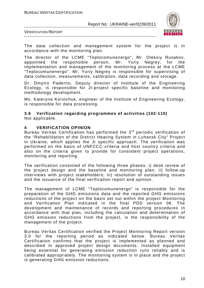

VERIFICATION REPORT

The data collection and management system for the project is in accordance with the monitoring plan.

The director of the LCME "Teplocomunenergo", Mr. Oleksiy Rusakov, appointed the responsible person, Mr. Yuriy Negrey, for the implementation and management of the monitoring process at the LCME "Teplocomunenergo". Mr. Yuriy Negrey is responsible for supervising of data collection, measurements, calibration, data recording and storage.

Dr. Dmytro Paderno, Deputy director of Institute of the Engineering Ecology, is responsible for JI-project specific baseline and monitoring methodology development.

Ms. Kateryna Korinchuk, engineer of the Institute of Engineering Ecology, is responsible for data processing.

#### **3.6 Verification regarding programmes of activities (102-110)**  Not applicable.

#### **4 VERIFICATION OPINION**

Bureau Veritas Certification has performed the 3<sup>rd</sup> periodic verification of the "Rehabilitation of the District Heating System in Luhansk City" Project in Ukraine, which applies the JI specific approach. The verification was performed on the basis of UNFCCC criteria and host country criteria and also on the criteria given to provide for consistent project operations, monitoring and reporting.

The verification consisted of the following three phases: i) desk review of the project design and the baseline and monitoring plan; ii) follow-up interviews with project stakeholders; iii) resolution of outstanding issues and the issuance of the final verification report and opinion.

The management of LCME "Teplocomunenergo" is responsible for the preparation of the GHG emissions data and the reported GHG emissions reductions of the project on the basis set out within the project Monitoring and Verification Plan indicated in the final PDD version 06. The development and maintenance of records and reporting procedures in accordance with that plan, including the calculation and determination of GHG emission reductions from the project, is the responsibility of the management of the project.

Bureau Veritas Certification verified the Project Monitoring Report version 3.0 for the reporting period as indicated below. Bureau Veritas Certification confirms that the project is implemented as planned and described in approved project design documents. Installed equipment being essential for generating emission reduction runs reliably and is calibrated appropriately. The monitoring system is in place and the project is generating GHG emission reductions.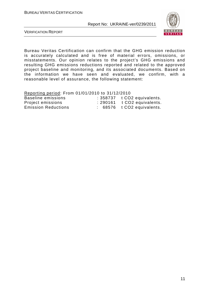

VERIFICATION REPORT

Bureau Veritas Certification can confirm that the GHG emission reduction is accurately calculated and is free of material errors, omissions, or misstatements. Our opinion relates to the project's GHG emissions and resulting GHG emissions reductions reported and related to the approved project baseline and monitoring, and its associated documents. Based on the information we have seen and evaluated, we confirm, with a reasonable level of assurance, the following statement:

Reporting period: From 01/01/2010 to 31/12/2010

| Baseline emissions         | $: 358737$ t CO2 equivalents.    |
|----------------------------|----------------------------------|
| Project emissions          | $\div$ 290161 t CO2 equivalents. |
| <b>Emission Reductions</b> | $: 68576$ $t CO2$ equivalents.   |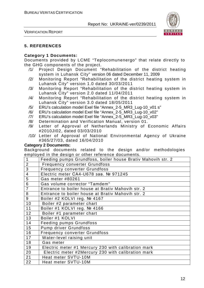

VERIFICATION REPORT

#### **5. REFERENCES**

#### **Category 1 Documents:**

Documents provided by LCME "Teplocomunenergo" that relate directly to the GHG components of the project.

- /1/ Project Design Document "Rehabilitation of the district heating system in Luhansk City" version 06 dated December 11, 2009
- /2/ Monitoring Report "Rehabilitation of the district heating system in Luhansk City" version 1.0 dated 30/03/2011
- /3/ Monitoring Report "Rehabilitation of the district heating system in Luhansk City" version 2.0 dated 11/04/2011
- /4/ Monitoring Report "Rehabilitation of the district heating system in Luhansk City" version 3.0 dated 18/05/2011
- /5/ ERU's calculation model Exel file "Annex\_2-5\_MR3\_Lug-10\_v01 s"
- /6/ ERU's calculation model Exel file "Annex\_2-5\_MR3\_Lug-10\_v02"
- /7/ ERU's calculation model Exel file "Annex\_2-5\_MR3\_Lug-10\_v03"
- /8/ Determination and Verification Manual, version 01.
- /9/ Letter of Approval of Netherlands Ministry of Economic Affairs #2010JI02, dated 03/03/2010
- /10/ Letter of Approval of National Environmental Agency of Ukraine #365/27/03, dated 16/04/2010

#### **Category 2 Documents:**

Background documents related to the design and/or methodologies employed in the design or other reference documents.

| $\overline{1}$ | Feeding pumps Grundfoss, boiler house Brativ Mahovih str. 2 |
|----------------|-------------------------------------------------------------|
| $\overline{2}$ | <b>Frequency converter Grundfoss</b>                        |
| $\overline{3}$ | <b>Frequency converter Grundfoss</b>                        |
| $\overline{4}$ | Electric meter CA4-U678 зав. № 971245                       |
| 5              | Gas meter #80261                                            |
| 6              | Gas volume corrector "Tamdem"                               |
| $\overline{7}$ | Entrance to boiler house at Brativ Mahovih str. 2           |
| 8              | Entrance to boiler house at Brativ Mahovih str. 2           |
| 9              | Boiler #2 KOLVI reg. № 4167                                 |
| 10             | Boiler #2 parameter chart                                   |
| 11             | Boiler #1 KOLVI reg. № 4166                                 |
| 12             | Boiler #1 parameter chart                                   |
| 13             | Boiler #1 KOLVI                                             |
| 14             | <b>Feeding pumps Grundfoss</b>                              |
| 15             | Pump driver Grundfoss                                       |
| 16             | <b>Frequency converter Grundfoss</b>                        |
| 17             | Water-level raising unit                                    |
| 18             | Gas meter                                                   |
| 19             | Electric meter #1 Mercury 230 with calibration mark         |
| 20             | Electric meter #2Mercury 230 with calibration mark          |
| 21             | Heat meter SVTU-10M                                         |
| 22             | Heat meter SVTU-10M                                         |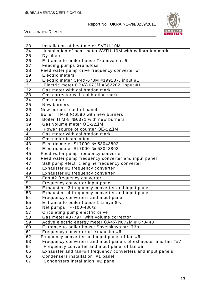

| 23              | Installation of heat meter SVTU-10M                            |
|-----------------|----------------------------------------------------------------|
| 24              | Installation of heat meter SVTU-10M with calibration mark      |
| 25              | Dy filters                                                     |
| 26              | Entrance to boiler house Tzupova str. 5                        |
| 27              | <b>Feeding pumps Grundfoss</b>                                 |
| 28              | Feed water pump drive frequency converter of                   |
| 29              | <b>Electric meters</b>                                         |
| 30              | Electric meter CP4Y-673M #199137, input #1                     |
| 31              | Electric meter CP4Y-673M #662202, input #1                     |
| 32              | Gas meter with calibration mark                                |
| 33              | Gas corrector with calibration mark                            |
| 34              | Gas meter                                                      |
| 35              | New burners                                                    |
| 36              | New burners control panel                                      |
| $\overline{37}$ | Boiler TFM-8 №6580 with new burners                            |
| 38              | Boiler TFM-8 №6371 with new burners                            |
| 39              | Gas volume meter OE-22ДМ                                       |
| 40              | Power source of counter OE-22ДМ                                |
| 41              | Gas meter with calibration mark                                |
| 42              | Gas meter installation                                         |
| 43              | Electric meter SL7000 № 53043802                               |
| 44              | Electric meter SL7000 № 53043802                               |
| 45              | Feed water pump frequency converter                            |
| 46              | Feed water pump frequency converter and input panel            |
| 47              | Salt pump electric engine frequency converter                  |
| 48              | Exhauster #1 frequency converter                               |
| 49              | Exhauster #2 frequency converter                               |
| 50              | Fan #2 frequency converter                                     |
| 51              | Frequency converter input panel                                |
| 52              | Exhauster #3 frequency converter and input panel               |
| 53              | Exhauster #4 frequency converter and input panel               |
| $\overline{54}$ | Frequency converters and input panel                           |
| 55              | Entrance to boiler house 1 Liniya 8-v                          |
| 56              | Net pumps TP-100-480/2                                         |
| 57              | Circulating pump electric drive                                |
| 58              | Gas meter #37797 with volume corrector                         |
| 59              | Active electric energy meter CA4Y-И672M # 678443               |
| 60              | Entrance to boiler house Sovetskaya str. 73b                   |
| 61              | Frequency converter of exhauster #6                            |
| 62              | Frequency converter and input panel of fan #6                  |
| 63              | Frequency converters and input panels of exhauster and fan ##7 |
| 64              | Frequency converter and input panel of fan #5                  |
| 65              | Exhauster and fan##4 frequency converters and input panels     |
| 66              | Condensers installation #1 panel                               |
| 67              | Condensers installation #2 panel                               |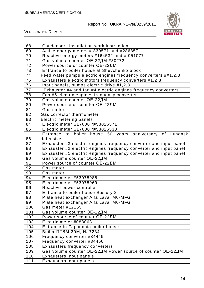

| 68  | Condensers installation work instruction                          |
|-----|-------------------------------------------------------------------|
| 69  | Active energy meters # 830571 and #286857                         |
| 70  | Reactive energy meters #164532 and # 951077                       |
| 71  | Gas volume counter ОЕ-22ДМ #30272                                 |
| 72  | Power source of counter OE-22ДМ                                   |
| 73  | Entrance to boiler house at Shevchenko block                      |
| 74  | Feed water pumps electric engines frequency converters ##1,2,3    |
| 75  | Exhausters electric motors frequency converters #1,2,3            |
| 76  | Input panels, pumps electric drive #1,2,3                         |
| 77  | Exhauster #4 and fan #4 electric engines frequency converters     |
| 78  | Fan #5 electric engines frequency converter                       |
| 79  | Gas volume counter OE-22ДМ                                        |
| 80  | Power source of counter OE-22ДМ                                   |
| 81  | Gas meter                                                         |
| 82  | Gas corrector thermometer                                         |
| 83  | Electric metering panels                                          |
| 84  | Electric meter SL7000 №53026571                                   |
| 85  | Electric meter SL7000 №53026538                                   |
|     | to boiler house 50 years anniversary of Luhansk<br>Entrance       |
| 86  | defensive                                                         |
| 87  | Exhauster #3 electric engines frequency converter and input panel |
| 88  | Exhauster #2 electric engines frequency converter and input panel |
| 89  | Exhauster #1 electric engines frequency converter and input panel |
| 90  | Gas volume counter OE-22ДМ                                        |
| 91  | Power source of counter OE-22ДМ                                   |
| 92  | Gas meter                                                         |
| 93  | Gas meter                                                         |
| 94  | Electric meter #53078988                                          |
| 95  | Electric meter #53078969                                          |
| 96  | Reactive power controller                                         |
| 97  | Entrance to boiler house Sosiury 2                                |
| 98  | Plate heat exchanger Alfa Laval M6-MFG                            |
| 99  | Plate heat exchanger Alfa Laval M6-MFG                            |
| 100 | Gas meter #12155                                                  |
| 101 | Gas volume counter OE-22ДМ                                        |
| 102 | Power source of counter OE-22ДМ                                   |
| 103 | Electric meter #088063                                            |
| 104 | Entrance to Zapadnaia boiler house                                |
| 105 | Boiler NTBM-30M, № 7234                                           |
| 106 | Frequency converter #34449                                        |
| 107 | Frequency converter #34450                                        |
| 108 | Exhausters frequency converters                                   |
| 109 | Gas volume counter OE-22ДМ Power source of counter OE-22ДМ        |
| 110 | Exhausters input panels                                           |
| 111 | Exhausters input panels                                           |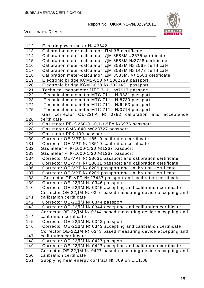

| 112              | Electric power meter № 43642                                   |
|------------------|----------------------------------------------------------------|
| 113              | Calibration meter-calculator $\Box M$ -3B certificate          |
| 114              | Calibration meter-calculator ДМ 3583М #2575 certificate        |
| 115              | Calibration meter-calculator ДМ 3583M №2728 certificate        |
| 116              | Calibration meter-calculator ДМ 3583М № 2569 certificate       |
| $\overline{117}$ | Calibration meter-calculator ДМ 3583М № 1473 certificate       |
| 118              | Calibration meter-calculator ДМ 3583М, № 2583 certificate      |
| 119              | Electronic bridge KCM2-028 № 1062729 passport                  |
| 120              | Electronic bridge KCM2-038 № 3020431 passport                  |
| 121              | Technical manometer MTC 711, №7917 passport                    |
| 122              | Technical manometer MTC 711, Nº9831 passport                   |
| 123              | Technical manometer MTC 711, Nº8739 passport                   |
| 124              | Technical manometer MTC 711, №6453 passport                    |
| 125              | Technical manometer MTC 711, №0714 passport                    |
|                  | Gas corrector OE-22ЛA № 0782 calibration and acceptance        |
| 126              | certificate                                                    |
| 127              | Gas meter PF-K-250-01-0,1-r-5Ex №6976 passport                 |
| 128              | Gas meter GMS-640 Nº023727 passport                            |
| 129              | Gas meter PFK-100 passport                                     |
| 130              | Corrector OE-VPT № 18510 calibration certificate               |
| 131              | Corrector OE-VPT № 18510 calibration certificate               |
| 132              | Gas meter PFK-1000-1/30 №1267 passport                         |
| 133              | Gas meter PFK-1000-1/30 №1267 passport                         |
| 134              | Corrector OE-VPT № 28631 passport and calibration certificate  |
| 135              | Corrector OE-VPT № 28631 passport and calibration certificate  |
| 136              | Corrector OE-VPT № 6209 passport and calibration certificate   |
| 137              | Corrector OE-VPT № 6209 passport and calibration certificate   |
| 138              | Corrector OE-VPT № 27487 passport and calibration certificate  |
| 139              | Corrector ОЕ-22ДМ № 0346 passport                              |
| 140              | Corrector ОЕ-22ДМ № 0346 accepting and calibration certificate |
|                  | Corrector OE-22ДM № 0346 based measuring device accepting and  |
| 141              | calibration certificate                                        |
| 142              | Corrector ОЕ-22ДМ № 0344 passport                              |
| 143              | Corrector OE-22ДМ № 0344 accepting and calibration certificate |
|                  | Corrector OE-22ДM № 0344 based measuring device accepting and  |
| 144              | calibration certificate                                        |
| 145              | Corrector ОЕ-22ДМ № 0343 passport                              |
| 146              | Corrector ОЕ-22ДМ № 0343 accepting and calibration certificate |
|                  | Corrector OE-22ДM № 0343 based measuring device accepting and  |
| 147              | calibration certificate                                        |
| 148              | Corrector ОЕ-22ДМ № 0427 passport                              |
| 149              | Corrector OE-22ДM № 0427 accepting and calibration certificate |
|                  | Corrector OE-22ДM № 0427 based measuring device accepting and  |
| 150              | calibration certificate                                        |
| 151              | Supplying heat energy contract № 809 on 1.11.08                |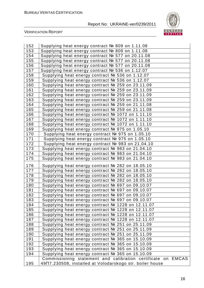

| 152 | Supplying heat energy contract № 809 on 1.11.08              |
|-----|--------------------------------------------------------------|
| 153 | Supplying heat energy contract № 809 on 1.11.08              |
| 154 | Supplying heat energy contract № 577 on 20.11.08             |
| 155 | Supplying heat energy contract № 577 on 20.11.08             |
| 156 | Supplying heat energy contract № 577 on 20.11.08             |
| 157 | Supplying heat energy contract № 536 on 1.12.07              |
| 158 | Supplying heat energy contract № 536 on 1.12.07              |
| 159 | Supplying heat energy contract № 536 on 1.12.07              |
| 160 | Supplying heat energy contract № 259 on 23.11.09             |
| 161 | Supplying heat energy contract № 259 on 23.11.09             |
| 162 | Supplying heat energy contract № 259 on 23.11.09             |
| 163 | Supplying heat energy contract № 259 on 23.11.09             |
| 164 | Supplying heat energy contract № 259 on 21.11.08             |
| 165 | Supplying heat energy contract № 259 on 21.11.08             |
| 166 | Supplying heat energy contract № 1072 on 1.11.10             |
| 167 | Supplying heat energy contract № 1072 on 1.11.10             |
| 168 | Supplying heat energy contract № 1072 on 1.11.10             |
| 169 | Supplying heat energy contract № 975 on 1.05.10              |
| 170 | Supplying heat energy contract № 975 on 1.05.10              |
| 171 | Supplying heat energy contract № 975 on 1.05.10              |
| 172 | Supplying heat energy contract № 983 on 21.04.10             |
| 173 | Supplying heat energy contract № 983 on 21.04.10             |
| 174 | Supplying heat energy contract № 983 on 21.04.10             |
| 175 | Supplying heat energy contract № 983 on 21.04.10             |
| 176 | Supplying heat energy contract № 282 on 18.05.10             |
| 177 | Supplying heat energy contract № 282 on 18.05.10             |
| 178 | Supplying heat energy contract № 282 on 18.05.10             |
| 179 | Supplying heat energy contract № 282 on 18.05.10             |
| 180 | Supplying heat energy contract № 697 on 09.10.07             |
| 181 | Supplying heat energy contract № 697 on 09.10.07             |
| 182 | Supplying heat energy contract № 697 on 09.10.07             |
| 183 | Supplying heat energy contract № 697 on 09.10.07             |
| 184 | Supplying heat energy contract № 1228 on 12.11.07            |
| 185 | Supplying heat energy contract № 1228 on 12.11.07            |
| 186 | Supplying heat energy contract № 1228 on 12.11.07            |
| 187 | Supplying heat energy contract № 1228 on 12.11.07            |
| 188 | Supplying heat energy contract № 251 on 25.11.09             |
| 189 | Supplying heat energy contract № 251 on 25.11.09             |
| 190 | Supplying heat energy contract № 251 on 25.11.09             |
| 191 | Supplying heat energy contract № 365 on 15.10.09             |
| 192 | Supplying heat energy contract № 365 on 15.10.09             |
| 193 | Supplying heat energy contract № 365 on 15.10.09             |
| 194 | Supplying heat energy contract № 365 on 15.10.09             |
|     | Commissioning statement and calibration certificate on EMCAS |
| 195 | 49N7.230508, installed at Volodarskogo str. boiler house     |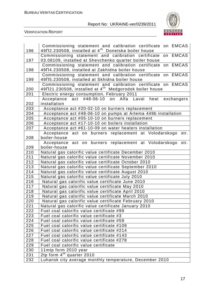

| 196        | Commissioning statement and calibration certificate on EMCAS<br>$49\Pi2.230508$ , installed at $4th$ Donetska boiler house |
|------------|----------------------------------------------------------------------------------------------------------------------------|
| 197        | on EMCAS<br>Commissioning statement and calibration certificate                                                            |
|            | 03.08109, installed at Shevchenko quarter boiler house<br>Commissioning statement and calibration certificate on EMCAS     |
| 198        | 49N4.230508, installed at Zakhidna boiler house                                                                            |
|            | Commissioning statement and calibration certificate on EMCAS                                                               |
| 199        | 49N5.230508, installed at Skhidna boiler house                                                                             |
|            | Commissioning statement and calibration certificate on EMCAS                                                               |
| 200<br>201 | $49\Pi21.230508$ , installed at $4^{\text{th}}$ Medgorodok boiler house<br>Electric energy consumption, February 2011      |
|            | Acceptance act #48-06-10 on Alfa Laval heat<br>exchangers                                                                  |
| 202        | installation                                                                                                               |
| 203        | Acceptance act #20-02-10 on burners replacement                                                                            |
| 204        | Acceptance act #48-06-10 on pumps at Artema 449b installation                                                              |
| 205        | Acceptance act #05-10-10 on burners replacement                                                                            |
| 206        | Acceptance act #17-10-10 on boilers installation                                                                           |
| 207        | Acceptance act #61-10-09 on water heaters installation                                                                     |
|            | Acceptance act on burners replacement at Volodarskogo str.                                                                 |
| 208        | boiler-house                                                                                                               |
|            | Acceptance act on burners replacement at Volodarskogo<br>str.                                                              |
| 209        | boiler-house                                                                                                               |
| 210        | Natural gas calorific value certificate December 2010                                                                      |
| 211        | Natural gas calorific value certificate November 2010                                                                      |
| 212<br>213 | Natural gas calorific value certificate October 2010                                                                       |
| 214        | Natural gas calorific value certificate September 2010<br>Natural gas calorific value certificate August 2010              |
| 215        | Natural gas calorific value certificate July 2010                                                                          |
| 216        | Natural gas calorific value certificate June 2010                                                                          |
| 217        | Natural gas calorific value certificate May 2010                                                                           |
| 218        | Natural gas calorific value certificate April 2010                                                                         |
| 219        | Natural gas calorific value certificate March 2010                                                                         |
| 220        | Natural gas calorific value certificate February 2010                                                                      |
| 221        | Natural gas calorific value certificate January 2010                                                                       |
| 222        | Fuel coal calorific value certificate #99                                                                                  |
| 223        | Fuel coal calorific value certificate #3                                                                                   |
| 224        | Fuel coal calorific value certificate #59                                                                                  |
| 225        | Fuel coal calorific value certificate #109                                                                                 |
| 226        | Fuel coal calorific value certificate #214                                                                                 |
| 227        | Fuel coal calorific value certificate #143                                                                                 |
| 228        | Fuel coal calorific value certificate #278                                                                                 |
| 229        | Fuel coal calorific value certificate                                                                                      |
| 230        | 11mtp form 2010 year                                                                                                       |
| 231        | 2tp form 4 <sup>th</sup> quarter 2010                                                                                      |
| 232        | Luhansk city average monthly temperature, December 2010                                                                    |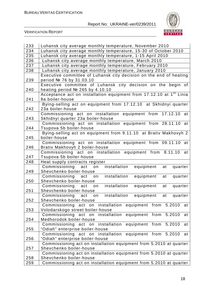

| 233 | Luhansk city average monthly temperature, November 2010                                                 |
|-----|---------------------------------------------------------------------------------------------------------|
| 234 | Luhansk city average monthly temperature, 15-30 of October 2010                                         |
| 235 | Luhansk city average monthly temperature, 1-15 April 2010                                               |
| 236 | Luhansk city average monthly temperature, March 2010                                                    |
| 237 | Luhansk city average monthly temperature, February 2010                                                 |
| 238 | Luhansk city average monthly temperature, January 2010                                                  |
|     | Executive committee of Luhansk city decision on the end of heating                                      |
| 239 | period № 76 by 31.03.10                                                                                 |
|     | Executive committee of Luhansk city decision on the begin of                                            |
| 240 | heating period № 265 by 4.10.10                                                                         |
|     | Acceptance act on installation equipment from 17.12.10 at 1 <sup>st</sup> Linia                         |
| 241 | 8a boiler-house                                                                                         |
|     | Bying-selling act on equipment from 17.12.10 at Skhidnyi quarter                                        |
| 242 | 23a boiler-house                                                                                        |
|     | Commissioning act on installation equipment from 17.12.10 at                                            |
| 243 | Skhidnyi quarter 23a boiler-house                                                                       |
|     | Commissioning act on installation equipment from 28.11.10 at                                            |
| 244 | Tsupova 5b boiler-house                                                                                 |
|     | Bying-selling act on equipment from 9.11.10 at Brativ Makhovyh 2                                        |
| 245 | boiler-house                                                                                            |
|     | Commissioning act on installation equipment from 09.11.10 at                                            |
| 246 | Brativ Makhovyh 2 boiler-house                                                                          |
| 247 | Commissioning act on installation equipment from 8.11.10 at                                             |
| 248 | Tsupova 5b boiler-house                                                                                 |
|     | Heat supply contracts register<br>installation<br>Commissioning act<br>equipment<br>at<br>quarter<br>on |
| 249 | Shevchenko boiler-house                                                                                 |
|     | installation<br>equipment<br>quarter<br>Commissioning act<br>on<br>at                                   |
| 250 | Shevchenko boiler-house                                                                                 |
|     | Commissioning act<br>installation<br>equipment<br>at<br>on<br>quarter                                   |
| 251 | Shevchenko boiler-house                                                                                 |
|     | Commissioning act on installation equipment at quarter                                                  |
| 252 | Shevchenko boiler-house                                                                                 |
|     | equipment from 5.2010<br>Commissioning act on installation<br>at                                        |
| 253 | Volodarskogo street boiler-house                                                                        |
|     | Commissioning act on installation<br>equipment from 5.2010<br>at                                        |
| 254 | Medhorodok boiler-house                                                                                 |
|     | 5.2010<br>Commissioning act on installation<br>equipment from<br>at                                     |
| 255 | "Odiah" enterprise boiler-house                                                                         |
|     | Commissioning act on installation<br>equipment from 5.2010<br>at                                        |
| 256 | "Odiah" enterprise boiler-house                                                                         |
|     | Commissioning act on installation equipment from 5.2010 at quarter                                      |
| 257 | Shevchenko boiler-house                                                                                 |
|     | Commissioning act on installation equipment from 5.2010 at quarter                                      |
| 258 | Shevchenko boiler-house                                                                                 |
| 259 | Commissioning act on installation equipment from 5.2010 at quarter                                      |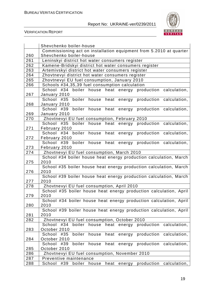

|     | Shevchenko boiler-house                                                                                           |  |  |  |  |
|-----|-------------------------------------------------------------------------------------------------------------------|--|--|--|--|
|     | Commissioning act on installation equipment from 5.2010 at quarter                                                |  |  |  |  |
| 260 | Shevchenko boiler-house                                                                                           |  |  |  |  |
| 261 | Leninskyi district hot water consumers register                                                                   |  |  |  |  |
| 262 | Kamene-Bridskyi district hot water consumers register                                                             |  |  |  |  |
| 263 | Artemivskyi district hot water consumers register                                                                 |  |  |  |  |
| 264 | Zhovtnevyi district hot water consumers register                                                                  |  |  |  |  |
| 265 | Zhovtnevyi EU fuel consumption, January 2010                                                                      |  |  |  |  |
| 266 | Schools #34,35,39 fuel consumption calculation                                                                    |  |  |  |  |
|     | School #34 boiler house heat energy production calculation,                                                       |  |  |  |  |
| 267 | January 2010                                                                                                      |  |  |  |  |
|     | boiler house heat energy production calculation,<br>School #35                                                    |  |  |  |  |
| 268 | January 2010                                                                                                      |  |  |  |  |
|     | boiler house<br>School #39<br>heat energy<br>production calculation,                                              |  |  |  |  |
| 269 | January 2010                                                                                                      |  |  |  |  |
| 270 | Zhovtnevyi EU fuel consumption, February 2010                                                                     |  |  |  |  |
|     | production calculation,<br>School #35 boiler house heat energy                                                    |  |  |  |  |
| 271 | February 2010                                                                                                     |  |  |  |  |
|     | boiler house heat energy<br>production calculation,<br>School #34                                                 |  |  |  |  |
| 272 | February 2010                                                                                                     |  |  |  |  |
|     | School #39 boiler house heat energy<br>production calculation,                                                    |  |  |  |  |
| 273 | February 2010                                                                                                     |  |  |  |  |
| 274 | Zhovtnevyi EU fuel consumption, March 2010                                                                        |  |  |  |  |
|     | School #34 boiler house heat energy production calculation, March                                                 |  |  |  |  |
| 275 | 2010                                                                                                              |  |  |  |  |
|     | School #35 boiler house heat energy production calculation, March                                                 |  |  |  |  |
| 276 | 2010                                                                                                              |  |  |  |  |
|     | School #39 boiler house heat energy production calculation, March                                                 |  |  |  |  |
| 277 | 2010                                                                                                              |  |  |  |  |
| 278 | Zhovtnevyi EU fuel consumption, April 2010                                                                        |  |  |  |  |
|     | School #35 boiler house heat energy production calculation, April                                                 |  |  |  |  |
| 279 | 2010                                                                                                              |  |  |  |  |
| 280 | School #34 boiler house heat energy production calculation, April                                                 |  |  |  |  |
|     | 2010                                                                                                              |  |  |  |  |
| 281 | School #39 boiler house heat energy production calculation, April<br>2010                                         |  |  |  |  |
| 282 |                                                                                                                   |  |  |  |  |
|     | Zhovtnevyi EU fuel consumption, October 2010<br>boiler house heat energy production calculation,<br>#34<br>School |  |  |  |  |
| 283 | October 2010                                                                                                      |  |  |  |  |
|     | boiler house heat energy production calculation,<br>School<br>#35                                                 |  |  |  |  |
| 284 | October 2010                                                                                                      |  |  |  |  |
|     | boiler<br>house heat energy production<br>School #39<br>calculation,                                              |  |  |  |  |
| 285 | October 2010                                                                                                      |  |  |  |  |
| 286 | Zhovtnevyi EU fuel consumption, November 2010                                                                     |  |  |  |  |
| 287 | Preventive maintenance                                                                                            |  |  |  |  |
| 288 | energy production calculation,<br>School<br>#39<br>boiler<br>heat<br>house                                        |  |  |  |  |
|     |                                                                                                                   |  |  |  |  |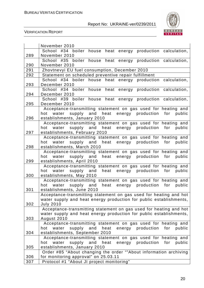

|            | November 2010                                                                                                                 |
|------------|-------------------------------------------------------------------------------------------------------------------------------|
|            | School<br>#34 boiler house<br>heat energy production calculation,                                                             |
| 289        | November 2010                                                                                                                 |
|            | School #35 boiler house heat energy production calculation,                                                                   |
| 290<br>291 | November 2010                                                                                                                 |
| 292        | Zhovtnevyi EU fuel consumption, December 2010<br>Statement on scheduled preventive repair fulfillment                         |
|            | #34 boiler house heat energy production calculation,<br>School                                                                |
| 293        | December 2010                                                                                                                 |
|            | School #34 boiler house heat energy production calculation,                                                                   |
| 294        | December 2010                                                                                                                 |
|            | School #39 boiler house<br>heat energy production calculation,                                                                |
| 295        | December 2010                                                                                                                 |
|            | Acceptance-transmitting statement on gas used for heating and<br>hot water supply and heat energy production for public       |
| 296        | establishments, January 2010                                                                                                  |
|            | Acceptance-transmitting statement on gas used for heating and                                                                 |
|            | water supply and heat energy production for<br>public<br>hot                                                                  |
| 297        | establishments, February 2010                                                                                                 |
|            | Acceptance-transmitting statement on gas used for heating and                                                                 |
|            | water supply and heat energy production for public<br>hot                                                                     |
| 298        | establishments, March 2010                                                                                                    |
|            | Acceptance-transmitting statement on gas used for heating and<br>water supply and heat energy production for<br>public<br>hot |
| 299        | establishments, April 2010                                                                                                    |
|            | Acceptance-transmitting statement on gas used for heating and                                                                 |
|            | heat energy production for public<br>water supply and<br>hot                                                                  |
| 300        | establishments, May 2010                                                                                                      |
|            | Acceptance-transmitting statement on gas used for heating and                                                                 |
|            | hot water supply and heat energy production for<br>public                                                                     |
| 301        | establishments, June 2010<br>Acceptance-transmitting statement on gas used for heating and hot                                |
|            | water supply and heat energy production for public establishments,                                                            |
| 302        | <b>July 2010</b>                                                                                                              |
|            | Acceptance-transmitting statement on gas used for heating and hot                                                             |
|            | water supply and heat energy production for public establishments,                                                            |
| 303        | August 2010                                                                                                                   |
|            | Acceptance-transmitting statement on gas used for heating and                                                                 |
|            | water supply and heat energy production for<br>public<br>hot                                                                  |
| 304        | establishments, September 2010<br>Acceptance-transmitting statement on gas used for heating and                               |
|            | water supply and heat energy production<br>for<br>public<br>hot                                                               |
| 305        | establishments, January 2010                                                                                                  |
|            | Order #85 "About changing the order ""About information archiving                                                             |
| 306        | for monitoring approval" on 25.03.11                                                                                          |
| 307        | Protocol #1 "About JI project monitoring"                                                                                     |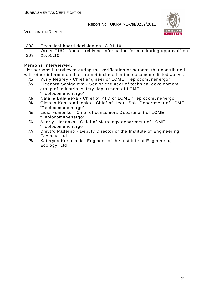

VERIFICATION REPORT

| 308 | Technical board decision on 18.01.10                                |
|-----|---------------------------------------------------------------------|
|     | Order #162 "About archiving information for monitoring approval" on |
| 309 | 25.05.10                                                            |

#### **Persons interviewed:**

List persons interviewed during the verification or persons that contributed with other information that are not included in the documents listed above.

- /1/ Yuriy Negrey Chief engineer of LCME "Teplocomunenergo"
- /2/ Eleonora Schigoleva Senior engineer of technical development group of industrial safety department of LCME "Teplocomunenergo"
- /3/ Natalia Balalaeva Chief of PTD of LCME "Teplocomunenergo"
- /4/ Oksana Konstantinenko Chief of Heat –Sale Department of LCME "Teplocomunenergo"
- /5/ Lidia Fomenko Chief of consumers Department of LCME "Teplocomunenergo"
- /6/ Andriy Ulchenko Chief of Metrology department of LCME "Teplocomunenergo
- /7/ Dmytro Paderno Deputy Director of the Institute of Engineering Ecology, Ltd
- /8/ Kateryna Korinchuk Engineer of the Institute of Engineering Ecology, Ltd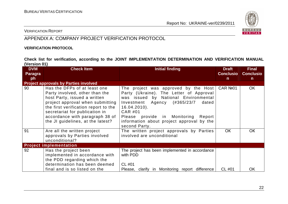

VERIFICATION REPORT

## APPENDIX A: COMPANY PROJECT VERIFICATION PROTOCOL

#### **VERIFICATION PROTOCOL**

**Check list for verification, according to the JOINT IMPLEMENTATION DETERMINATION AND VERIFICATION MANUAL (Version 01)** 

| <b>DVM</b><br><b>Paragra</b> | <b>Check Item</b>                                                                                                                                                                                                                                                                    | <b>Initial finding</b>                                                                                                                                                                                                                                                                                    | <b>Draft</b><br><b>Conclusio</b> | <b>Final</b><br><b>Conclusio</b> |
|------------------------------|--------------------------------------------------------------------------------------------------------------------------------------------------------------------------------------------------------------------------------------------------------------------------------------|-----------------------------------------------------------------------------------------------------------------------------------------------------------------------------------------------------------------------------------------------------------------------------------------------------------|----------------------------------|----------------------------------|
| ph                           |                                                                                                                                                                                                                                                                                      |                                                                                                                                                                                                                                                                                                           | $\mathsf{n}$                     | $\mathsf{n}$                     |
|                              | <b>Project approvals by Parties involved</b>                                                                                                                                                                                                                                         |                                                                                                                                                                                                                                                                                                           |                                  |                                  |
| 90                           | Has the DFPs of at least one<br>Party involved, other than the<br>host Party, issued a written<br>project approval when submitting<br>the first verification report to the<br>secretariat for publication in<br>accordance with paragraph 38 of<br>the JI guidelines, at the latest? | The project was approved by the Host<br>Party (Ukraine). The Letter of Approval<br>was issued by National Environmental<br>(#365/23/7<br>Investment Agency<br>dated<br>$16.04.2010$ ).<br>CAR #01<br>Please provide in Monitoring<br>Report<br>information about project approval by the<br>second Party. | CAR Nº01                         | OK                               |
| 91                           | Are all the written project<br>approvals by Parties involved<br>unconditional?                                                                                                                                                                                                       | The written project approvals by Parties<br>involved are unconditional                                                                                                                                                                                                                                    | <b>OK</b>                        | <b>OK</b>                        |
|                              | <b>Project implementation</b>                                                                                                                                                                                                                                                        |                                                                                                                                                                                                                                                                                                           |                                  |                                  |
| 92                           | Has the project been<br>implemented in accordance with<br>the PDD regarding which the<br>determination has been deemed<br>final and is so listed on the                                                                                                                              | The project has been implemented in accordance<br>with PDD<br>$CL$ #01<br>Please, clarify in Monitoring report difference                                                                                                                                                                                 | CL #01                           | OK                               |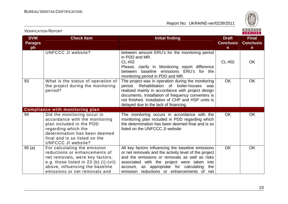VERIFICATION REPORT

Report No: UKRAINE-ver/0239/2011



#### VERITAS **DVM Check Item Initial finding Check Item Initial finding Check Item Initial finding Initial finding Initial finding Final Paragra Conclusio Conclusioph nn** UNFCCC JI website? between amount ERU's for the monitoring period in PDD and MR. CL #02  $CL \#02$  OK Please, clarify in Monitoring report difference between baseline emissions ERU's for the monitoring period in PDD and MR. 93 What is the status of operation of OK OK The project was in operation during the monitoring the project during the monitoring period. Rehabilitation of boiler-houses was period? realized mainly in accordance with project design documents. Installation of frequency converters is not finished. Installation of CHP and HSP units is delayed due to the lack of financing. **Compliance with monitoring plan**  94 Did the monitoring occur in The monitoring occurs in accordance with the OK OK accordance with the monitoring monitoring plan included in PDD regarding which plan included in the PDD the determination has been deemed final and is so regarding which the listed on the UNFCCC JI website determination has been deemed final and is so listed on the UNFCCC JI website?  $95$  (a) For calculating the emission All key factors influencing the baseline emissions OK OK reductions or enhancements of or net removals and the activity level of the project net removals, were key factors, and the emissions or removals as well as risks e.g. those listed in 23 (b) (i)-(vii) associated with the project were taken into above, influencing the baseline account, as appropriate for calculating the emissions or net removals and emission reductions or enhancements of net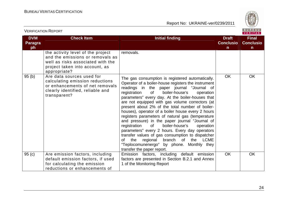VERIFICATION REPORT

Report No: UKRAINE-ver/0239/2011



#### VERITAS **DVM Check Item Initial finding Check Item Initial finding Check Item Initial finding Initial finding Initial finding Final Paragra Conclusio Conclusioph nn** the activity level of the project removals. and the emissions or removals as well as risks associated with the project taken into account, as appropriate? 95 (b) Are data sources used for OK OK The gas consumption is registered automatically. calculating emission reductions Operator of a boiler-house registers the instrument or enhancements of net removals readings in the paper journal "Journal of clearly identified, reliable and registration of boiler-house's operation transparent? parameters" every day. At the boiler-houses that are not equipped with gas volume correctors (at present about 2% of the total number of boilerhouses), operator of a boiler house every 2 hours registers parameters of natural gas (temperature and pressure) in the paper journal "Journal of registration of boiler-house's operation parameters" every 2 hours. Every day operators transfer values of gas consumption to dispatcher of the regional branch of the LCME "Teplocomunenergo" by phone. Monthly they transfer the paper report. 95 (c) Are emission factors, including OK OK Emission factors, including default emission default emission factors, if used factors are presented in Section B.2.1 and Annex for calculating the emission 1 of the Monitoring Report reductions or enhancements of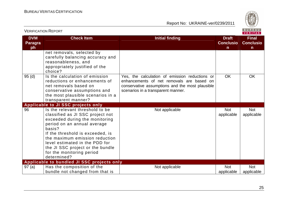

| <u>VLINII IUATIUIVTINEEUINT</u>    |                                                                                                                                                                                                                                                                                                                                        |                                                                                                                                                                                      |                                                  | VERITAS                                          |
|------------------------------------|----------------------------------------------------------------------------------------------------------------------------------------------------------------------------------------------------------------------------------------------------------------------------------------------------------------------------------------|--------------------------------------------------------------------------------------------------------------------------------------------------------------------------------------|--------------------------------------------------|--------------------------------------------------|
| <b>DVM</b><br><b>Paragra</b><br>ph | <b>Check Item</b>                                                                                                                                                                                                                                                                                                                      | <b>Initial finding</b>                                                                                                                                                               | <b>Draft</b><br><b>Conclusio</b><br>$\mathsf{n}$ | <b>Final</b><br><b>Conclusio</b><br>$\mathsf{n}$ |
|                                    | net removals, selected by<br>carefully balancing accuracy and<br>reasonableness, and<br>appropriately justified of the<br>choice?                                                                                                                                                                                                      |                                                                                                                                                                                      |                                                  |                                                  |
| 95(d)                              | Is the calculation of emission<br>reductions or enhancements of<br>net removals based on<br>conservative assumptions and<br>the most plausible scenarios in a<br>transparent manner?                                                                                                                                                   | Yes, the calculation of emission reductions or<br>enhancements of net removals are based on<br>conservative assumptions and the most plausible<br>scenarios in a transparent manner. | <b>OK</b>                                        | <b>OK</b>                                        |
|                                    | Applicable to JI SSC projects only                                                                                                                                                                                                                                                                                                     |                                                                                                                                                                                      |                                                  |                                                  |
| 96                                 | Is the relevant threshold to be<br>classified as JI SSC project not<br>exceeded during the monitoring<br>period on an annual average<br>basis?<br>If the threshold is exceeded, is<br>the maximum emission reduction<br>level estimated in the PDD for<br>the JI SSC project or the bundle<br>for the monitoring period<br>determined? | Not applicable                                                                                                                                                                       | <b>Not</b><br>applicable                         | <b>Not</b><br>applicable                         |
|                                    | Applicable to bundled JI SSC projects only                                                                                                                                                                                                                                                                                             |                                                                                                                                                                                      |                                                  |                                                  |
| 97(a)                              | Has the composition of the<br>bundle not changed from that is                                                                                                                                                                                                                                                                          | Not applicable                                                                                                                                                                       | <b>Not</b><br>applicable                         | <b>Not</b><br>applicable                         |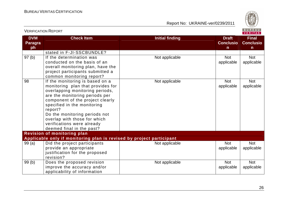

| <b>DVM</b><br><b>Paragra</b><br>ph | <b>Check Item</b>                                                                                                                                                                                                                                                                                                                                   | <b>Initial finding</b> | <b>Draft</b><br><b>Conclusio</b><br>$\mathsf{n}$ | <b>Final</b><br><b>Conclusio</b><br>$\mathsf{n}$ |
|------------------------------------|-----------------------------------------------------------------------------------------------------------------------------------------------------------------------------------------------------------------------------------------------------------------------------------------------------------------------------------------------------|------------------------|--------------------------------------------------|--------------------------------------------------|
|                                    | stated in F-JI-SSCBUNDLE?                                                                                                                                                                                                                                                                                                                           |                        |                                                  |                                                  |
| 97(b)                              | If the determination was<br>conducted on the basis of an<br>overall monitoring plan, have the<br>project participants submitted a<br>common monitoring report?                                                                                                                                                                                      | Not applicable         | <b>Not</b><br>applicable                         | <b>Not</b><br>applicable                         |
| 98                                 | If the monitoring is based on a<br>monitoring plan that provides for<br>overlapping monitoring periods,<br>are the monitoring periods per<br>component of the project clearly<br>specified in the monitoring<br>report?<br>Do the monitoring periods not<br>overlap with those for which<br>verifications were already<br>deemed final in the past? | Not applicable         | <b>Not</b><br>applicable                         | <b>Not</b><br>applicable                         |
|                                    | <b>Revision of monitoring plan</b>                                                                                                                                                                                                                                                                                                                  |                        |                                                  |                                                  |
|                                    | Applicable only if monitoring plan is revised by project participant                                                                                                                                                                                                                                                                                |                        |                                                  |                                                  |
| 99(a)                              | Did the project participants<br>provide an appropriate<br>justification for the proposed<br>revision?                                                                                                                                                                                                                                               | Not applicable         | <b>Not</b><br>applicable                         | Not<br>applicable                                |
| 99(b)                              | Does the proposed revision<br>improve the accuracy and/or<br>applicability of information                                                                                                                                                                                                                                                           | Not applicable         | <b>Not</b><br>applicable                         | <b>Not</b><br>applicable                         |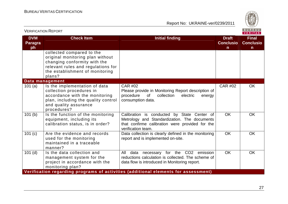

| <b>VERIFICATION REPORT</b>         |                                                                                                                                                                                  |                                                                                                                                                                      |                                        | BUREAU<br><b>VERITAS</b>              |
|------------------------------------|----------------------------------------------------------------------------------------------------------------------------------------------------------------------------------|----------------------------------------------------------------------------------------------------------------------------------------------------------------------|----------------------------------------|---------------------------------------|
| <b>DVM</b><br><b>Paragra</b><br>ph | <b>Check Item</b>                                                                                                                                                                | <b>Initial finding</b>                                                                                                                                               | <b>Draft</b><br><b>Conclusio</b><br>n. | <b>Final</b><br><b>Conclusio</b><br>n |
|                                    | collected compared to the<br>original monitoring plan without<br>changing conformity with the<br>relevant rules and regulations for<br>the establishment of monitoring<br>plans? |                                                                                                                                                                      |                                        |                                       |
|                                    | Data management                                                                                                                                                                  |                                                                                                                                                                      |                                        |                                       |
| 101 $(a)$                          | Is the implementation of data<br>collection procedures in<br>accordance with the monitoring<br>plan, including the quality control<br>and quality assurance<br>procedures?       | <b>CAR #02</b><br>Please provide in Monitoring Report description of<br>procedure<br>0f<br>collection<br>electric<br>energy<br>consumption data.                     | <b>CAR #02</b>                         | <b>OK</b>                             |
| 101(b)                             | Is the function of the monitoring<br>equipment, including its<br>calibration status, is in order?                                                                                | Calibration is conducted by State Center of<br>Metrology and Standardization. The documents<br>that confirme calibration were provided for the<br>verification team. | <b>OK</b>                              | <b>OK</b>                             |
| 101 (c)                            | Are the evidence and records<br>used for the monitoring<br>maintained in a traceable<br>manner?                                                                                  | Data collection is clearly defined in the monitoring<br>report and is implemented on-site.                                                                           | <b>OK</b>                              | OK                                    |
| $101$ (d)                          | Is the data collection and<br>management system for the<br>project in accordance with the<br>monitoring plan?                                                                    | for the CO2 emission<br>All<br>data<br>necessary<br>reductions calculation is collected. The scheme of<br>data flow is introduced in Monitoring report.              | <b>OK</b>                              | <b>OK</b>                             |
|                                    |                                                                                                                                                                                  | Verification regarding programs of activities (additional elements for assessment)                                                                                   |                                        |                                       |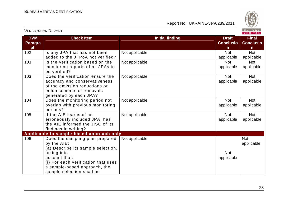

| <b>DVM</b><br><b>Paragra</b><br>ph | <b>Check Item</b>                                                                                                                                                                                                        | <b>Initial finding</b> | <b>Draft</b><br><b>Conclusio</b><br>n | <b>Final</b><br><b>Conclusio</b><br>$\mathsf{n}$ |
|------------------------------------|--------------------------------------------------------------------------------------------------------------------------------------------------------------------------------------------------------------------------|------------------------|---------------------------------------|--------------------------------------------------|
| 102                                | Is any JPA that has not been<br>added to the JI PoA not verified?                                                                                                                                                        | Not applicable         | <b>Not</b><br>applicable              | <b>Not</b><br>applicable                         |
| 103                                | Is the verification based on the<br>monitoring reports of all JPAs to<br>be verified?                                                                                                                                    | Not applicable         | <b>Not</b><br>applicable              | <b>Not</b><br>applicable                         |
| 103                                | Does the verification ensure the<br>accuracy and conservativeness<br>of the emission reductions or<br>enhancements of removals<br>generated by each JPA?                                                                 | Not applicable         | <b>Not</b><br>applicable              | Not<br>applicable                                |
| 104                                | Does the monitoring period not<br>overlap with previous monitoring<br>periods?                                                                                                                                           | Not applicable         | <b>Not</b><br>applicable              | <b>Not</b><br>applicable                         |
| 105                                | If the AIE learns of an<br>erroneously included JPA, has<br>the AIE informed the JISC of its<br>findings in writing?                                                                                                     | Not applicable         | <b>Not</b><br>applicable              | <b>Not</b><br>applicable                         |
|                                    | Applicable to sample-based approach only                                                                                                                                                                                 |                        |                                       |                                                  |
| 106                                | Does the sampling plan prepared<br>by the AIE:<br>(a) Describe its sample selection,<br>taking into<br>account that:<br>(i) For each verification that uses<br>a sample-based approach, the<br>sample selection shall be | Not applicable         | <b>Not</b><br>applicable              | <b>Not</b><br>applicable                         |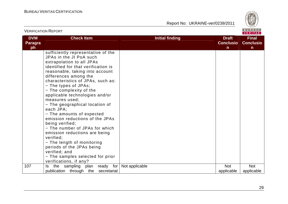

|                                    | <b>VERIFICATION REPORT</b>                                                                                                                                                                                                                                                                                                                                                                                                                                                                                                                                                                                                                                                                            |                        |                                       | BUREAU<br><b>VERITAS</b>              |
|------------------------------------|-------------------------------------------------------------------------------------------------------------------------------------------------------------------------------------------------------------------------------------------------------------------------------------------------------------------------------------------------------------------------------------------------------------------------------------------------------------------------------------------------------------------------------------------------------------------------------------------------------------------------------------------------------------------------------------------------------|------------------------|---------------------------------------|---------------------------------------|
| <b>DVM</b><br><b>Paragra</b><br>ph | <b>Check Item</b>                                                                                                                                                                                                                                                                                                                                                                                                                                                                                                                                                                                                                                                                                     | <b>Initial finding</b> | <b>Draft</b><br><b>Conclusio</b><br>n | <b>Final</b><br><b>Conclusio</b><br>n |
|                                    | sufficiently representative of the<br>JPAs in the JI PoA such<br>extrapolation to all JPAs<br>identified for that verification is<br>reasonable, taking into account<br>differences among the<br>characteristics of JPAs, such as:<br>- The types of JPAs;<br>- The complexity of the<br>applicable technologies and/or<br>measures used;<br>- The geographical location of<br>each JPA;<br>- The amounts of expected<br>emission reductions of the JPAs<br>being verified;<br>- The number of JPAs for which<br>emission reductions are being<br>verified;<br>- The length of monitoring<br>periods of the JPAs being<br>verified; and<br>- The samples selected for prior<br>verifications, if any? |                        |                                       |                                       |
| 107                                | sampling<br>ready for<br>the<br>plan<br>ls.<br>publication through the<br>secretariat                                                                                                                                                                                                                                                                                                                                                                                                                                                                                                                                                                                                                 | Not applicable         | <b>Not</b><br>applicable              | <b>Not</b><br>applicable              |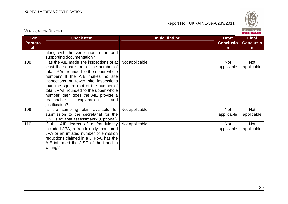

|                                    |                                                                                                                                                                                                                                                                                                                                                                                          |                        |                                       | $V = H + H - H$                                  |
|------------------------------------|------------------------------------------------------------------------------------------------------------------------------------------------------------------------------------------------------------------------------------------------------------------------------------------------------------------------------------------------------------------------------------------|------------------------|---------------------------------------|--------------------------------------------------|
| <b>DVM</b><br><b>Paragra</b><br>ph | <b>Check Item</b>                                                                                                                                                                                                                                                                                                                                                                        | <b>Initial finding</b> | <b>Draft</b><br><b>Conclusio</b><br>n | <b>Final</b><br><b>Conclusio</b><br>$\mathsf{n}$ |
|                                    | along with the verification report and<br>supporting documentation?                                                                                                                                                                                                                                                                                                                      |                        |                                       |                                                  |
| 108                                | Has the AIE made site inspections of at<br>least the square root of the number of<br>total JPAs, rounded to the upper whole<br>number? If the AIE makes no site<br>inspections or fewer site inspections<br>than the square root of the number of<br>total JPAs, rounded to the upper whole<br>number, then does the AIE provide a<br>reasonable<br>explanation<br>and<br>justification? | Not applicable         | <b>Not</b><br>applicable              | <b>Not</b><br>applicable                         |
| 109                                | Is the sampling plan available for<br>submission to the secretariat for the<br>JISC.s ex ante assessment? (Optional)                                                                                                                                                                                                                                                                     | Not applicable         | <b>Not</b><br>applicable              | <b>Not</b><br>applicable                         |
| 110                                | If the AIE learns of a fraudulently<br>included JPA, a fraudulently monitored<br>JPA or an inflated number of emission<br>reductions claimed in a JI PoA, has the<br>AIE informed the JISC of the fraud in<br>writing?                                                                                                                                                                   | Not applicable         | <b>Not</b><br>applicable              | <b>Not</b><br>applicable                         |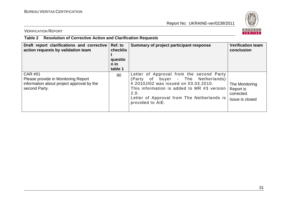

VERIFICATION REPORT

## **Table 2 Resolution of Corrective Action and Clarification Requests**

| Draft report clarifications and corrective<br>action requests by validation team                                    | Ref. to<br>checklis<br>questio<br>n in<br>table 1 | Summary of project participant response                                                                                                                                                                                                        | <b>Verification team</b><br>conclusion                       |
|---------------------------------------------------------------------------------------------------------------------|---------------------------------------------------|------------------------------------------------------------------------------------------------------------------------------------------------------------------------------------------------------------------------------------------------|--------------------------------------------------------------|
| <b>CAR #01</b><br>Please provide in Monitoring Report<br>information about project approval by the<br>second Party. | 90                                                | Letter of Approval from the second Party<br>(Party of buyer - The Netherlands)<br># 2010JI02 was issued on 03.03.2010.<br>This information is added to MR #3 version<br>2.0.<br>Letter of Approval from The Netherlands is<br>provided to AIE. | The Monitoring<br>Report is<br>corrected.<br>Issue is closed |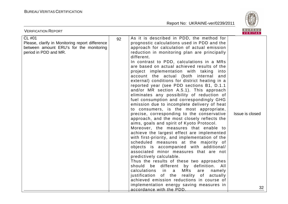

| <b>VERIFICATION REPORT</b>                                                                                                    |    |                                                                                                                                                                                                                                                                                                                                                                                                                                                                                                                                                                                                                                                                                                                                                                                                                                                                                                                                                                                                                                                                                                                                                                                                                                                                                                                                                                                                                                                                           | B U K E A U  <br>VERITAS |
|-------------------------------------------------------------------------------------------------------------------------------|----|---------------------------------------------------------------------------------------------------------------------------------------------------------------------------------------------------------------------------------------------------------------------------------------------------------------------------------------------------------------------------------------------------------------------------------------------------------------------------------------------------------------------------------------------------------------------------------------------------------------------------------------------------------------------------------------------------------------------------------------------------------------------------------------------------------------------------------------------------------------------------------------------------------------------------------------------------------------------------------------------------------------------------------------------------------------------------------------------------------------------------------------------------------------------------------------------------------------------------------------------------------------------------------------------------------------------------------------------------------------------------------------------------------------------------------------------------------------------------|--------------------------|
| CL #01<br>Please, clarify in Monitoring report difference<br>between amount ERU's for the monitoring<br>period in PDD and MR. | 92 | As it is described in PDD, the method for<br>prognostic calculations used in PDD and the<br>approach for calculation of actual emission<br>reduction in monitoring plan are principally<br>different.<br>In contrast to PDD, calculations in a MRs<br>are based on actual achieved results of the<br>project implementation with taking<br>into<br>account the actual (both internal<br>and<br>external) conditions for district heating in a<br>reported year (see PDD sections B1, D.1.1<br>and/or MR section A.5.1). This approach<br>eliminates any possibility of reduction of<br>fuel consumption and correspondingly GHG<br>emission due to incomplete delivery of heat<br>to consumers, is the most appropriate,<br>precise, corresponding to the conservative<br>approach, and the most closely reflects the<br>aims, goals and spirit of Kyoto Protocol.<br>Moreover, the measures that enable to<br>achieve the largest effect are implemented<br>with first-priority, and implementation of the<br>scheduled measures at the majority of<br>objects is accompanied with additional/<br>associated minor measures that are not<br>predictively calculable.<br>Thus the results of these two approaches<br>should be different by definition. All<br>calculations<br>$\overline{a}$<br>MRs<br>namely<br>in in<br>are<br>justification<br>of the reality of<br>actually<br>achieved emission reductions in course of<br>implementation energy saving measures in | Issue is closed          |
|                                                                                                                               |    | accordance with the PDD.                                                                                                                                                                                                                                                                                                                                                                                                                                                                                                                                                                                                                                                                                                                                                                                                                                                                                                                                                                                                                                                                                                                                                                                                                                                                                                                                                                                                                                                  | 32                       |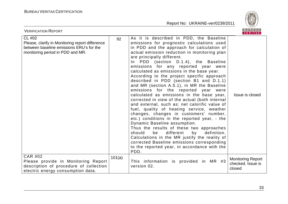

| <b>VERIFICATION REPORT</b>                                                                                                                |        |                                                                                                                                                                                                                                                                                                                                                                                                                                                                                                                                                                                                                                                                                                                                                                                                                                                                                                                                                                                                                                                                                                           | BUREAU<br>VERITAS                                       |
|-------------------------------------------------------------------------------------------------------------------------------------------|--------|-----------------------------------------------------------------------------------------------------------------------------------------------------------------------------------------------------------------------------------------------------------------------------------------------------------------------------------------------------------------------------------------------------------------------------------------------------------------------------------------------------------------------------------------------------------------------------------------------------------------------------------------------------------------------------------------------------------------------------------------------------------------------------------------------------------------------------------------------------------------------------------------------------------------------------------------------------------------------------------------------------------------------------------------------------------------------------------------------------------|---------------------------------------------------------|
| CL #02<br>Please, clarify in Monitoring report difference<br>between baseline emissions ERU's for the<br>monitoring period in PDD and MR. | 92     | As it is described in PDD, the Baseline<br>emissions for prognostic calculations used<br>in PDD and the approach for calculation of<br>actual emission reduction in monitoring plan<br>are principally different.<br>In PDD (section D.1.4), the Baseline<br>emissions for any reported year were<br>calculated as emissions in the base year.<br>According to the project specific approach<br>described in PDD (section B1 and D.1.1)<br>and MR (section A.5.1), in MR the Baseline<br>emissions for the reported year were<br>calculated as emissions in the base year,<br>corrected in view of the actual (both internal<br>and external, such as: net calorific value of<br>fuel, quality of heating service, weather<br>changes, changes in customers' number,<br>etc.) conditions in the reported year, - the<br>Dynamic Baseline assumption.<br>Thus the results of these two approaches<br>should<br>be<br>different<br>by<br>definition.<br>Calculations in the MR justify the reality of<br>corrected Baseline emissions corresponding<br>to the reported year, in accordance with the<br>PDD. | Issue is closed                                         |
| <b>CAR #02</b><br>Please provide in Monitoring Report<br>description of procedure of collection<br>electric energy consumption data.      | 101(a) | This information is provided in MR #3<br>version 02.                                                                                                                                                                                                                                                                                                                                                                                                                                                                                                                                                                                                                                                                                                                                                                                                                                                                                                                                                                                                                                                      | <b>Monitoring Report</b><br>checked. Issue is<br>closed |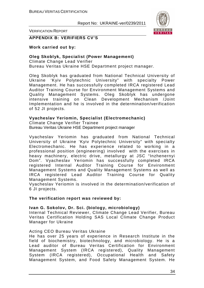

VERIFICATION REPORT

#### **APPENDIX B: VERIFIERS CV'S**

#### **Work carried out by:**

#### **Oleg Skoblyk, Specialist (Power Management)**

Climate Change Lead Verifier Bureau Veritas Ukraine HSE Department project manager.

Oleg Skoblyk has graduated from National Technical University of Ukraine 'Kyiv Polytechnic University" with specialty Power Management. He has successfully completed IRCA registered Lead Auditor Training Course for Environment Management Systems and Quality Management Systems. Oleg Skoblyk has undergone intensive training on Clean Development Mechanism /Joint Implementation and he is involved in the determination/verification of 52 JI projects.

#### **Vyacheslav Yeriomin, Specialist (Electromechanic)**

Climate Change Verifier Trainee Bureau Veritas Ukraine HSE Department project manager

Vyacheslav Yeriomin has graduated from National Technical University of Ukraine 'Kyiv Polytechnic University" with specialty Electromechanic. He has experience related to working in a professional position (engineering) involved with the exercises in heavy machinery, electric drive, metallurgy at JSC "Inzhenernyi Dom". Vyacheslav Yeriomin has successfully completed IRCA registered Internal Auditor Training Course for Environment Management Systems and Quality Management Systems as well as IRCA registered Lead Auditor Training Course for Quality Management Systems.

Vyacheslav Yeriomin is involved in the determination/verification of 6 JI projects.

#### **The verification report was reviewed by:**

#### **Ivan G. Sokolov, Dr. Sci. (biology, microbiology)**

Internal Technical Reviewer, Climate Change Lead Verifier, Bureau Veritas Certification Holding SAS Local Climate Change Product Manager for Ukraine

#### Acting CEO Bureau Veritas Ukraine

He has over 25 years of experience in Research Institute in the field of biochemistry, biotechnology, and microbiology. He is a Lead auditor of Bureau Veritas Certification for Environment Management System (IRCA registered), Quality Management System (IRCA registered), Occupational Health and Safety Management System, and Food Safety Management System. He